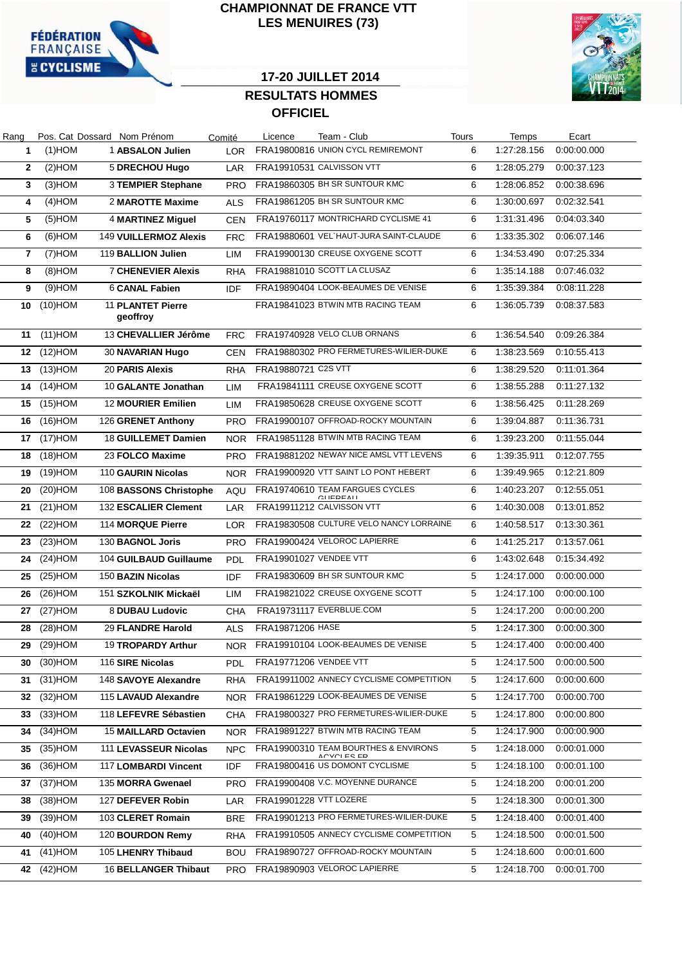

### **CHAMPIONNAT DE FRANCE VTT LES MENUIRES (73)**



## **17-20 JUILLET 2014**

# **RESULTATS HOMMES OFFICIEL**

| Rang |            | Pos. Cat Dossard Nom Prénom          | Comité     | Licence             | Team - Club                                             | <b>Tours</b> | Temps       | Ecart                    |
|------|------------|--------------------------------------|------------|---------------------|---------------------------------------------------------|--------------|-------------|--------------------------|
| 1    | $(1)$ HOM  | 1 ABSALON Julien                     | LOR        |                     | FRA19800816 UNION CYCL REMIREMONT                       | 6            | 1:27:28.156 | 0:00:00.000              |
| 2    | $(2)$ HOM  | <b>5 DRECHOU Hugo</b>                | LAR        |                     | FRA19910531 CALVISSON VTT                               | 6            | 1:28:05.279 | 0:00:37.123              |
| 3    | $(3)$ HOM  | 3 TEMPIER Stephane                   | <b>PRO</b> |                     | FRA19860305 BH SR SUNTOUR KMC                           | 6            | 1:28:06.852 | 0:00:38.696              |
| 4    | $(4)$ HOM  | 2 MAROTTE Maxime                     | <b>ALS</b> |                     | FRA19861205 BH SR SUNTOUR KMC                           | 6            | 1:30:00.697 | 0:02:32.541              |
| 5    | $(5)$ HOM  | <b>4 MARTINEZ Miguel</b>             | <b>CEN</b> |                     | FRA19760117 MONTRICHARD CYCLISME 41                     | 6            | 1:31:31.496 | 0:04:03.340              |
| 6    | $(6)$ HOM  | 149 VUILLERMOZ Alexis                | <b>FRC</b> |                     | FRA19880601 VEL HAUT-JURA SAINT-CLAUDE                  | 6            | 1:33:35.302 | 0:06:07.146              |
| 7    | $(7)$ HOM  | 119 BALLION Julien                   | LIM        |                     | FRA19900130 CREUSE OXYGENE SCOTT                        | 6            | 1:34:53.490 | 0:07:25.334              |
| 8    | $(8)$ HOM  | <b>7 CHENEVIER Alexis</b>            | <b>RHA</b> |                     | FRA19881010 SCOTT LA CLUSAZ                             | 6            | 1:35:14.188 | 0:07:46.032              |
| 9    | $(9)$ HOM  | 6 CANAL Fabien                       | <b>IDF</b> |                     | FRA19890404 LOOK-BEAUMES DE VENISE                      | 6            | 1:35:39.384 | 0:08:11.228              |
| 10   | $(10)$ HOM | <b>11 PLANTET Pierre</b><br>geoffroy |            |                     | FRA19841023 BTWIN MTB RACING TEAM                       | 6            | 1:36:05.739 | 0:08:37.583              |
| 11   | $(11)$ HOM | 13 CHEVALLIER Jérôme                 | <b>FRC</b> |                     | FRA19740928 VELO CLUB ORNANS                            | 6            | 1:36:54.540 | 0:09:26.384              |
| 12   | $(12)$ HOM | 30 NAVARIAN Hugo                     | <b>CEN</b> |                     | FRA19880302 PRO FERMETURES-WILIER-DUKE                  | 6            | 1:38:23.569 | 0:10:55.413              |
| 13   | $(13)$ HOM | 20 PARIS Alexis                      | <b>RHA</b> | FRA19880721 C2S VTT |                                                         | 6            | 1:38:29.520 | 0:11:01.364              |
| 14   | $(14)$ HOM | 10 GALANTE Jonathan                  | LIM        |                     | FRA19841111 CREUSE OXYGENE SCOTT                        | 6            | 1:38:55.288 | 0:11:27.132              |
| 15   | $(15)$ HOM | <b>12 MOURIER Emilien</b>            | <b>LIM</b> |                     | FRA19850628 CREUSE OXYGENE SCOTT                        | 6            | 1:38:56.425 | 0:11:28.269              |
| 16   | $(16)$ HOM | 126 GRENET Anthony                   | <b>PRO</b> |                     | FRA19900107 OFFROAD-ROCKY MOUNTAIN                      | 6            | 1:39:04.887 | 0:11:36.731              |
| 17   | $(17)$ HOM | 18 GUILLEMET Damien                  | <b>NOR</b> |                     | FRA19851128 BTWIN MTB RACING TEAM                       | 6            | 1:39:23.200 | 0:11:55.044              |
| 18   | $(18)$ HOM | 23 FOLCO Maxime                      | <b>PRO</b> |                     | FRA19881202 NEWAY NICE AMSL VTT LEVENS                  | 6            | 1:39:35.911 | 0:12:07.755              |
| 19   | $(19)$ HOM | 110 GAURIN Nicolas                   | NOR.       |                     | FRA19900920 VTT SAINT LO PONT HEBERT                    | 6            | 1:39:49.965 | 0:12:21.809              |
| 20   | $(20)$ HOM | 108 BASSONS Christophe               | AQU        |                     | FRA19740610 TEAM FARGUES CYCLES<br>$C\Pi$ <b>CDEALI</b> | 6            | 1:40:23.207 | 0:12:55.051              |
| 21   | $(21)$ HOM | 132 ESCALIER Clement                 | LAR        |                     | FRA19911212 CALVISSON VTT                               | 6            | 1:40:30.008 | 0:13:01.852              |
| 22   | $(22)$ HOM | 114 MORQUE Pierre                    | <b>LOR</b> |                     | FRA19830508 CULTURE VELO NANCY LORRAINE                 | 6            | 1:40:58.517 | 0.13.30.361              |
| 23   | $(23)$ HOM | 130 BAGNOL Joris                     | <b>PRO</b> |                     | FRA19900424 VELOROC LAPIERRE                            | 6            | 1:41:25.217 | 0:13:57.061              |
| 24   | $(24)$ HOM | 104 GUILBAUD Guillaume               | <b>PDL</b> |                     | FRA19901027 VENDEE VTT                                  | 6            | 1:43:02.648 | 0:15:34.492              |
| 25   | $(25)$ HOM | 150 BAZIN Nicolas                    | IDF        |                     | FRA19830609 BH SR SUNTOUR KMC                           | 5            | 1:24:17.000 | 0:00:00.000              |
| 26   | $(26)$ HOM | 151 SZKOLNIK Mickaël                 | LIM        |                     | FRA19821022 CREUSE OXYGENE SCOTT                        | 5            | 1:24:17.100 | 0:00:00.100              |
| 27   | $(27)$ HOM | 8 DUBAU Ludovic                      | <b>CHA</b> |                     | FRA19731117 EVERBLUE.COM                                | 5            | 1:24:17.200 | 0:00:00.200              |
| 28   | $(28)$ HOM | <b>29 FLANDRE Harold</b>             | <b>ALS</b> | FRA19871206 HASE    |                                                         | 5            | 1:24:17.300 | 0:00:00.300              |
|      | 29 (29)HOM | 19 TROPARDY Arthur                   |            |                     | NOR FRA19910104 LOOK-BEAUMES DE VENISE                  | 5            |             | 1:24:17.400  0:00:00.400 |
| 30   | $(30)$ HOM | 116 SIRE Nicolas                     | PDL.       |                     | <b>FRA19771206 VENDEE VTT</b>                           | 5            | 1:24:17.500 | 0:00:00.500              |
| 31   | $(31)$ HOM | 148 SAVOYE Alexandre                 | <b>RHA</b> |                     | FRA19911002 ANNECY CYCLISME COMPETITION                 | 5            | 1:24:17.600 | 0:00:00.600              |
| 32   | $(32)$ HOM | 115 LAVAUD Alexandre                 | NOR.       |                     | FRA19861229 LOOK-BEAUMES DE VENISE                      | 5            | 1:24:17.700 | 0:00:00.700              |
| 33   | $(33)$ HOM | 118 LEFEVRE Sébastien                | CHA        |                     | FRA19800327 PRO FERMETURES-WILIER-DUKE                  | 5            | 1:24:17.800 | 0:00:00.800              |
| 34   | $(34)$ HOM | 15 MAILLARD Octavien                 | <b>NOR</b> |                     | FRA19891227 BTWIN MTB RACING TEAM                       | 5            | 1:24:17.900 | 0:00:00.900              |
| 35   | $(35)$ HOM | 111 LEVASSEUR Nicolas                | NPC        |                     | FRA19900310 TEAM BOURTHES & ENVIRONS<br>ACVOI ES ED     | 5            | 1:24:18.000 | 0:00:01.000              |
| 36   | $(36)$ HOM | 117 LOMBARDI Vincent                 | IDF        |                     | FRA19800416 US DOMONT CYCLISME                          | 5            | 1:24:18.100 | 0:00:01.100              |
| 37   | $(37)$ HOM | 135 MORRA Gwenael                    | <b>PRO</b> |                     | FRA19900408 V.C. MOYENNE DURANCE                        | 5            | 1:24:18.200 | 0:00:01.200              |
| 38   | $(38)$ HOM | 127 DEFEVER Robin                    | LAR        |                     | FRA19901228 VTT LOZERE                                  | 5            | 1:24:18.300 | 0:00:01.300              |
| 39   | $(39)$ HOM | 103 CLERET Romain                    | <b>BRE</b> |                     | FRA19901213 PRO FERMETURES-WILIER-DUKE                  | 5            | 1:24:18.400 | 0:00:01.400              |
| 40   | $(40)$ HOM | 120 BOURDON Remy                     | RHA        |                     | FRA19910505 ANNECY CYCLISME COMPETITION                 | 5            | 1:24:18.500 | 0:00:01.500              |
| 41   | $(41)$ HOM | 105 LHENRY Thibaud                   | <b>BOU</b> |                     | FRA19890727 OFFROAD-ROCKY MOUNTAIN                      | 5            | 1:24:18.600 | 0:00:01.600              |
| 42   | $(42)$ HOM | <b>16 BELLANGER Thibaut</b>          | PRO.       |                     | FRA19890903 VELOROC LAPIERRE                            | 5            | 1:24:18.700 | 0:00:01.700              |
|      |            |                                      |            |                     |                                                         |              |             |                          |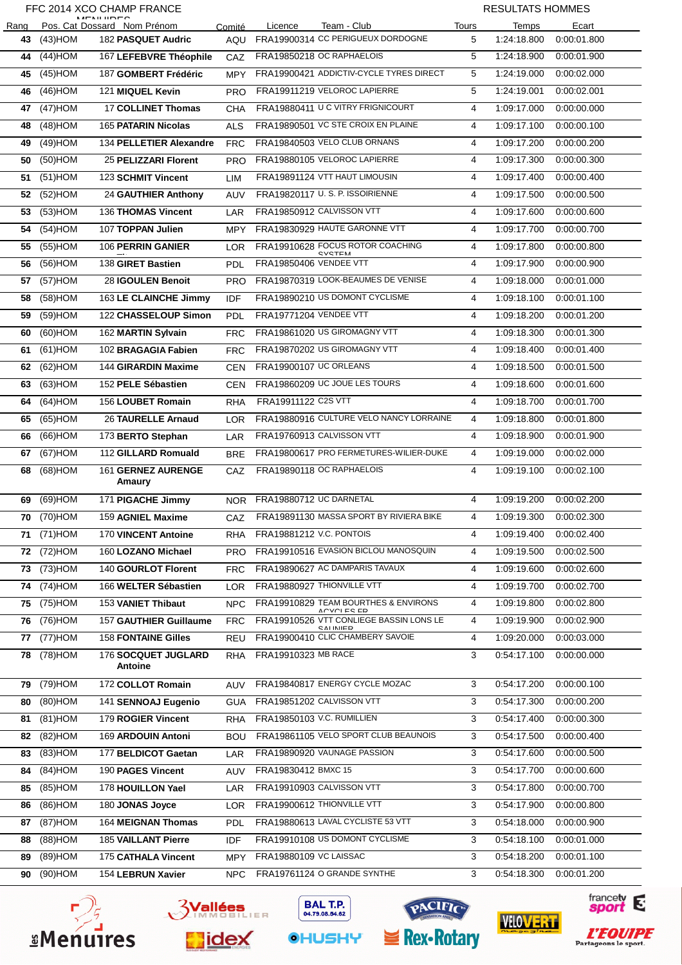#### FFC 2014 XCO CHAMP FRANCE

L  $\overline{a}$ 

֦

֒

֦

#### RESULTATS HOMMES

| Rang |            | $M$ $F$ $N$ $H$ $H$ $D$ $F$ $C$<br>Pos. Cat Dossard Nom Prénom | Comité     | Licence<br>Team - Club                                     | Tours | Temps       | Ecart       |
|------|------------|----------------------------------------------------------------|------------|------------------------------------------------------------|-------|-------------|-------------|
| 43   | $(43)$ HOM | 182 PASQUET Audric                                             |            | AQU FRA19900314 CC PERIGUEUX DORDOGNE                      | 5     | 1:24:18.800 | 0:00:01.800 |
| 44   | $(44)$ HOM | 167 LEFEBVRE Théophile                                         | CAZ        | FRA19850218 OC RAPHAELOIS                                  | 5     | 1:24:18.900 | 0:00:01.900 |
| 45   | $(45)$ HOM | 187 GOMBERT Frédéric                                           | MPY        | FRA19900421 ADDICTIV-CYCLE TYRES DIRECT                    | 5     | 1:24:19.000 | 0:00:02.000 |
| 46   | $(46)$ HOM | 121 MIQUEL Kevin                                               | <b>PRO</b> | FRA19911219 VELOROC LAPIERRE                               | 5     | 1:24:19.001 | 0:00:02.001 |
| 47   | (47) HOM   | <b>17 COLLINET Thomas</b>                                      | CHA        | FRA19880411 U C VITRY FRIGNICOURT                          | 4     | 1:09:17.000 | 0:00:00.000 |
| 48   | $(48)$ HOM | <b>165 PATARIN Nicolas</b>                                     | <b>ALS</b> | FRA19890501 VC STE CROIX EN PLAINE                         | 4     | 1:09:17.100 | 0:00:00.100 |
| 49   | $(49)$ HOM | 134 PELLETIER Alexandre                                        | <b>FRC</b> | FRA19840503 VELO CLUB ORNANS                               | 4     | 1:09:17.200 | 0:00:00.200 |
| 50   | $(50)$ HOM | 25 PELIZZARI Florent                                           | <b>PRO</b> | FRA19880105 VELOROC LAPIERRE                               | 4     | 1:09:17.300 | 0:00:00.300 |
| 51   | $(51)$ HOM | 123 SCHMIT Vincent                                             | LIM        | FRA19891124 VTT HAUT LIMOUSIN                              | 4     | 1:09:17.400 | 0:00:00.400 |
| 52   | (52)HOM    | <b>24 GAUTHIER Anthony</b>                                     | AUV        | FRA19820117 U.S. P. ISSOIRIENNE                            | 4     | 1:09:17.500 | 0:00:00.500 |
| 53   | $(53)$ HOM | 136 THOMAS Vincent                                             | LAR        | FRA19850912 CALVISSON VTT                                  | 4     | 1:09:17.600 | 0:00:00.600 |
| 54   | $(54)$ HOM | 107 TOPPAN Julien                                              | <b>MPY</b> | FRA19830929 HAUTE GARONNE VTT                              | 4     | 1:09:17.700 | 0:00:00.700 |
| 55   | $(55)$ HOM | 106 PERRIN GANIER                                              | LOR        | FRA19910628 FOCUS ROTOR COACHING<br><b>CVCTEM</b>          | 4     | 1:09:17.800 | 0:00:00.800 |
| 56   | $(56)$ HOM | 138 GIRET Bastien                                              | PDL        | FRA19850406 VENDEE VTT                                     | 4     | 1:09:17.900 | 0:00:00.900 |
| 57   | $(57)$ HOM | 28 IGOULEN Benoit                                              | <b>PRO</b> | FRA19870319 LOOK-BEAUMES DE VENISE                         | 4     | 1:09:18.000 | 0:00:01.000 |
| 58   | $(58)$ HOM | 163 LE CLAINCHE Jimmy                                          | IDF        | FRA19890210 US DOMONT CYCLISME                             | 4     | 1:09:18.100 | 0:00:01.100 |
| 59   | (59)HOM    | 122 CHASSELOUP Simon                                           | PDL        | FRA19771204 VENDEE VTT                                     | 4     | 1:09:18.200 | 0:00:01.200 |
| 60   | $(60)$ HOM | 162 MARTIN Sylvain                                             | <b>FRC</b> | FRA19861020 US GIROMAGNY VTT                               | 4     | 1:09:18.300 | 0:00:01.300 |
| 61   | $(61)$ HOM | 102 BRAGAGIA Fabien                                            | <b>FRC</b> | FRA19870202 US GIROMAGNY VTT                               | 4     | 1:09:18.400 | 0:00:01.400 |
| 62   | $(62)$ HOM | 144 GIRARDIN Maxime                                            | <b>CEN</b> | FRA19900107 UC ORLEANS                                     | 4     | 1:09:18.500 | 0:00:01.500 |
| 63   | $(63)$ HOM | 152 PELE Sébastien                                             | <b>CEN</b> | FRA19860209 UC JOUE LES TOURS                              | 4     | 1:09:18.600 | 0:00:01.600 |
| 64   | $(64)$ HOM | 156 LOUBET Romain                                              | <b>RHA</b> | FRA19911122 C2S VTT                                        | 4     | 1:09:18.700 | 0:00:01.700 |
| 65   | $(65)$ HOM | <b>26 TAURELLE Arnaud</b>                                      | <b>LOR</b> | FRA19880916 CULTURE VELO NANCY LORRAINE                    | 4     | 1:09:18.800 | 0:00:01.800 |
| 66   | MOH(66)    | 173 BERTO Stephan                                              | LAR        | FRA19760913 CALVISSON VTT                                  | 4     | 1:09:18.900 | 0:00:01.900 |
| 67   | (67) HOM   | 112 GILLARD Romuald                                            | <b>BRE</b> | FRA19800617 PRO FERMETURES-WILIER-DUKE                     | 4     | 1:09:19.000 | 0:00:02.000 |
| 68   | $(68)$ HOM | 161 GERNEZ AURENGE<br>Amaury                                   | CAZ        | FRA19890118 OC RAPHAELOIS                                  | 4     | 1:09:19.100 | 0:00:02.100 |
| 69   | (69) HOM   | 171 PIGACHE Jimmy                                              |            | NOR FRA19880712 UC DARNETAL                                | 4     | 1:09:19.200 | 0:00:02.200 |
|      | 70 (70)HOM | 159 AGNIEL Maxime                                              |            | CAZ FRA19891130 MASSA SPORT BY RIVIERA BIKE                | 4     | 1:09:19.300 | 0:00:02.300 |
| 71   | $(71)$ HOM | 170 VINCENT Antoine                                            | RHA        | FRA19881212 V.C. PONTOIS                                   | 4     | 1:09:19.400 | 0:00:02.400 |
| 72   | $(72)$ HOM | 160 LOZANO Michael                                             | <b>PRO</b> | FRA19910516 EVASION BICLOU MANOSQUIN                       | 4     | 1:09:19.500 | 0:00:02.500 |
| 73   | (73) HOM   | 140 GOURLOT Florent                                            | <b>FRC</b> | FRA19890627 AC DAMPARIS TAVAUX                             | 4     | 1:09:19.600 | 0:00:02.600 |
| 74   | (74)HOM    | 166 WELTER Sébastien                                           | <b>LOR</b> | FRA19880927 THIONVILLE VTT                                 | 4     | 1:09:19.700 | 0:00:02.700 |
| 75   | $(75)$ HOM | 153 VANIET Thibaut                                             | <b>NPC</b> | FRA19910829 TEAM BOURTHES & ENVIRONS<br><b>ACVOLES ED</b>  | 4     | 1:09:19.800 | 0:00:02.800 |
| 76   | (76)HOM    | 157 GAUTHIER Guillaume                                         | <b>FRC</b> | FRA19910526 VTT CONLIEGE BASSIN LONS LE<br><b>CALINIED</b> | 4     | 1:09:19.900 | 0:00:02.900 |
| 77   | (77) HOM   | <b>158 FONTAINE Gilles</b>                                     | <b>REU</b> | FRA19900410 CLIC CHAMBERY SAVOIE                           | 4     | 1:09:20.000 | 0:00:03.000 |
| 78   | (78) HOM   | <b>176 SOCQUET JUGLARD</b><br>Antoine                          | <b>RHA</b> | FRA19910323 MB RACE                                        | 3     | 0:54:17.100 | 0:00:00.000 |
| 79   | (79) HOM   | 172 COLLOT Romain                                              | <b>AUV</b> | FRA19840817 ENERGY CYCLE MOZAC                             | 3     | 0:54:17.200 | 0:00:00.100 |
| 80   | $(80)$ HOM | 141 SENNOAJ Eugenio                                            | <b>GUA</b> | FRA19851202 CALVISSON VTT                                  | 3     | 0:54:17.300 | 0:00:00.200 |
| 81   | $(81)$ HOM | 179 ROGIER Vincent                                             | RHA        | FRA19850103 V.C. RUMILLIEN                                 | 3     | 0:54:17.400 | 0:00:00.300 |
| 82   | (82)HOM    | 169 ARDOUIN Antoni                                             | BOU        | FRA19861105 VELO SPORT CLUB BEAUNOIS                       | 3     | 0:54:17.500 | 0:00:00.400 |
| 83   | $(83)$ HOM | 177 BELDICOT Gaetan                                            | LAR        | FRA19890920 VAUNAGE PASSION                                | 3     | 0.54.17.600 | 0:00:00.500 |
| 84   | $(84)$ HOM | 190 PAGES Vincent                                              | AUV        | FRA19830412 BMXC 15                                        | 3     | 0:54:17.700 | 0:00:00.600 |
| 85   | $(85)$ HOM | 178 HOUILLON Yael                                              | LAR        | FRA19910903 CALVISSON VTT                                  | 3     | 0:54:17.800 | 0:00:00.700 |
| 86   | $(86)$ HOM | 180 JONAS Joyce                                                | <b>LOR</b> | FRA19900612 THIONVILLE VTT                                 | 3     | 0:54:17.900 | 0:00:00.800 |
| 87   | $(87)$ HOM | 164 MEIGNAN Thomas                                             | <b>PDL</b> | FRA19880613 LAVAL CYCLISTE 53 VTT                          | 3     | 0.54.18.000 | 0:00:00.900 |
| 88   | $(M)$ HOM  | 185 VAILLANT Pierre                                            | IDF        | FRA19910108 US DOMONT CYCLISME                             | 3     | 0:54:18.100 | 0:00:01.000 |
| 89   | $(89)$ HOM | 175 CATHALA Vincent                                            | <b>MPY</b> | FRA19880109 VC LAISSAC                                     | 3     | 0:54:18.200 | 0:00:01.100 |
| 90   | (90)HOM    | 154 LEBRUN Xavier                                              | NPC        | FRA19761124 O GRANDE SYNTHE                                | 3     | 0:54:18.300 | 0:00:01.200 |
|      |            |                                                                |            |                                                            |       |             |             |